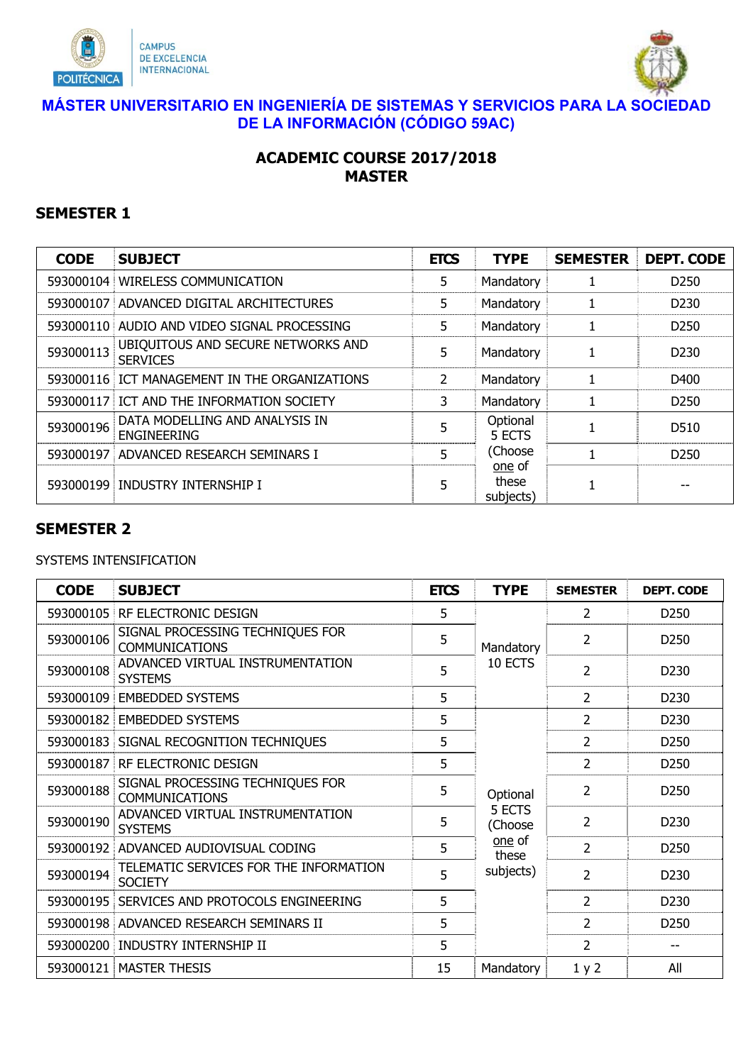



### **MÁSTER UNIVERSITARIO EN INGENIERÍA DE SISTEMAS Y SERVICIOS PARA LA SOCIEDAD DE LA INFORMACIÓN (CÓDIGO 59AC)**

## **ACADEMIC COURSE 2017/2018 MASTER**

### **SEMESTER 1**

| <b>CODE</b> | <b>SUBJECT</b>                                        | <b>ETCS</b> | <b>TYPE</b>                  | <b>SEMESTER</b> | <b>DEPT. CODE</b> |
|-------------|-------------------------------------------------------|-------------|------------------------------|-----------------|-------------------|
|             | 593000104 WIRELESS COMMUNICATION                      | 5.          | Mandatory                    |                 | D <sub>250</sub>  |
| 593000107   | ADVANCED DIGITAL ARCHITECTURES                        | 5           | Mandatory                    |                 | D <sub>230</sub>  |
| 593000110   | AUDIO AND VIDEO SIGNAL PROCESSING                     | 5.          | Mandatory                    |                 | D <sub>250</sub>  |
| 593000113   | UBIQUITOUS AND SECURE NETWORKS AND<br><b>SERVICES</b> | 5           | Mandatory                    |                 | D <sub>230</sub>  |
|             | 593000116 ICT MANAGEMENT IN THE ORGANIZATIONS         | 2           | Mandatory                    |                 | D400              |
|             | 593000117 ICT AND THE INFORMATION SOCIETY             | 3           | Mandatory                    |                 | D <sub>250</sub>  |
| 593000196   | DATA MODELLING AND ANALYSIS IN<br><b>ENGINEERING</b>  | 5           | Optional<br>5 ECTS           |                 | D510              |
| 593000197   | ADVANCED RESEARCH SEMINARS I                          | 5           | (Choose                      |                 | D <sub>250</sub>  |
| 593000199   | INDUSTRY INTERNSHIP I                                 | 5           | one of<br>these<br>subjects) |                 |                   |

### **SEMESTER 2**

#### SYSTEMS INTENSIFICATION

| <b>CODE</b> | <b>SUBJECT</b>                                            | <b>ETCS</b> | <b>TYPE</b>                                                   | <b>SEMESTER</b> | <b>DEPT. CODE</b> |      |
|-------------|-----------------------------------------------------------|-------------|---------------------------------------------------------------|-----------------|-------------------|------|
| 593000105   | RF ELECTRONIC DESIGN                                      | 5           | Mandatory<br>10 ECTS                                          | 2               | D250              |      |
| 593000106   | SIGNAL PROCESSING TECHNIQUES FOR<br><b>COMMUNICATIONS</b> | 5           |                                                               | 2               | D <sub>250</sub>  |      |
| 593000108   | ADVANCED VIRTUAL INSTRUMENTATION<br><b>SYSTEMS</b>        | 5           |                                                               | 2               | D <sub>230</sub>  |      |
| 593000109   | <b>EMBEDDED SYSTEMS</b>                                   | 5           |                                                               | 2               | D230              |      |
| 593000182   | <b>EMBEDDED SYSTEMS</b>                                   | 5           | Optional<br>5 ECTS<br>(Choose<br>one of<br>these<br>subjects) |                 | 2                 | D230 |
| 593000183   | SIGNAL RECOGNITION TECHNIQUES                             | 5           |                                                               | 2               | D <sub>250</sub>  |      |
| 593000187   | RF ELECTRONIC DESIGN                                      | 5           |                                                               | 2               | D <sub>250</sub>  |      |
| 593000188   | SIGNAL PROCESSING TECHNIQUES FOR<br><b>COMMUNICATIONS</b> | 5           |                                                               | $\overline{2}$  | D250              |      |
| 593000190   | ADVANCED VIRTUAL INSTRUMENTATION<br><b>SYSTEMS</b>        | 5           |                                                               | $\mathcal{P}$   | D <sub>230</sub>  |      |
| 593000192   | ADVANCED AUDIOVISUAL CODING                               | 5           |                                                               | $\overline{2}$  | D <sub>250</sub>  |      |
| 593000194   | TELEMATIC SERVICES FOR THE INFORMATION<br><b>SOCIETY</b>  | 5           |                                                               | 2               | D <sub>230</sub>  |      |
| 593000195   | SERVICES AND PROTOCOLS ENGINEERING                        | 5           |                                                               | 2               | D230              |      |
|             | 593000198 ADVANCED RESEARCH SEMINARS II                   | 5           |                                                               | $\overline{2}$  | D <sub>250</sub>  |      |
|             | 593000200 INDUSTRY INTERNSHIP II                          | 5           |                                                               | $\mathcal{P}$   |                   |      |
|             | 593000121   MASTER THESIS                                 | 15          | Mandatory                                                     | 1 y 2           | All               |      |